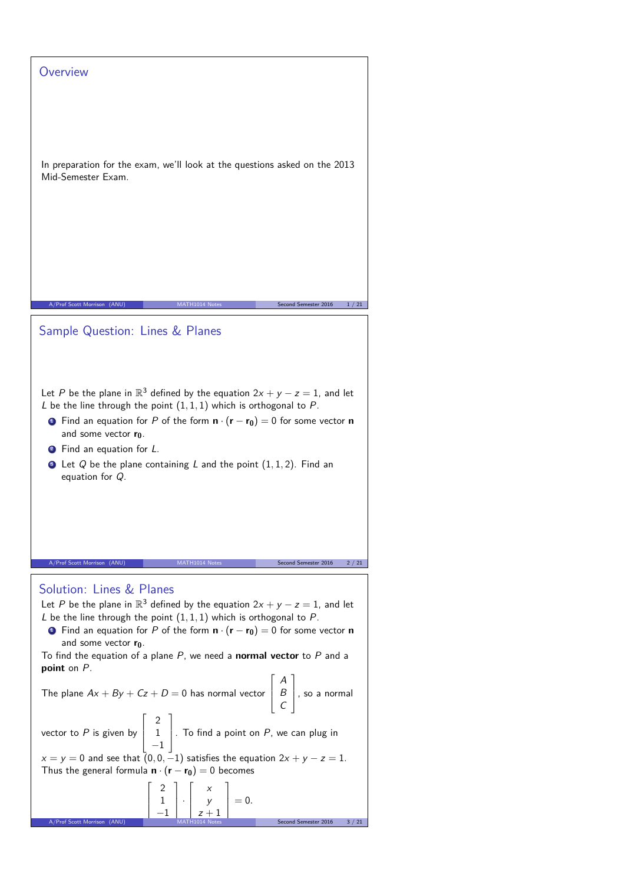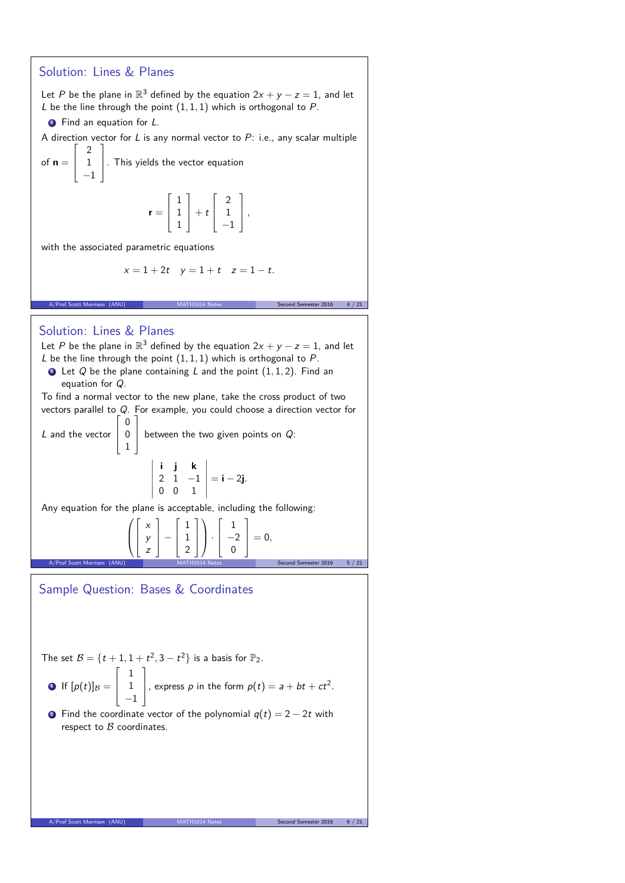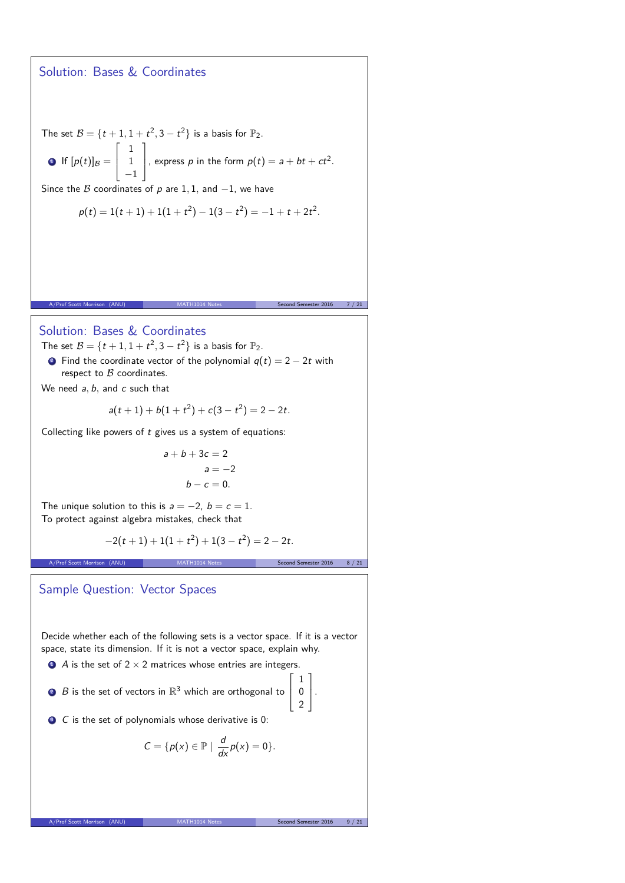## Solution: Bases & Coordinates

The set  $B = \{t+1, 1+t^2, 3-t^2\}$  is a basis for  $\mathbb{P}_2$ .

**9** If 
$$
[p(t)]_B = \begin{bmatrix} 1 \\ 1 \\ -1 \end{bmatrix}
$$
, express *p* in the form  $p(t) = a + bt + ct^2$ .

Since the B coordinates of p are 1, 1, and  $-1$ , we have

$$
p(t) = 1(t + 1) + 1(1 + t2) - 1(3 - t2) = -1 + t + 2t2.
$$

A/Prof Scott Morrison (ANU) MATH1014 Notes Second Semester 2016 7 / 21

Solution: Bases & Coordinates

The set  $B = \{t+1, 1+t^2, 3-t^2\}$  is a basis for  $\mathbb{P}_2$ .

• Find the coordinate vector of the polynomial  $q(t) = 2 - 2t$  with respect to  $B$  coordinates.

We need a*,* b*,* and c such that

$$
a(t+1)+b(1+t^2)+c(3-t^2)=2-2t.
$$

Collecting like powers of  $t$  gives us a system of equations:

$$
a+b+3c = 2
$$
  

$$
a = -2
$$
  

$$
b-c = 0.
$$

The unique solution to this is  $a = -2$ ,  $b = c = 1$ . To protect against algebra mistakes, check that

$$
-2(t+1)+1(1+t^2)+1(3-t^2)=2-2t.
$$

A/Prof Scott Morrison (ANU) MATH1014 Notes Second Semester 2016 8 / 21

Sample Question: Vector Spaces

Decide whether each of the following sets is a vector space. If it is a vector space, state its dimension. If it is not a vector space, explain why.

 $\bullet$  A is the set of 2  $\times$  2 matrices whose entries are integers.

 $2$   $\,$   $\,$   $\,$   $\,$   $\,$   $\,$  is the set of vectors in  $\mathbb{R}^{3}$  which are orthogonal to  $\Gamma$  $\overline{ }$ 

 $\bullet$  C is the set of polynomials whose derivative is 0:

$$
C = \{p(x) \in \mathbb{P} \mid \frac{d}{dx}p(x) = 0\}.
$$

1 0 2 T  $\vert \cdot$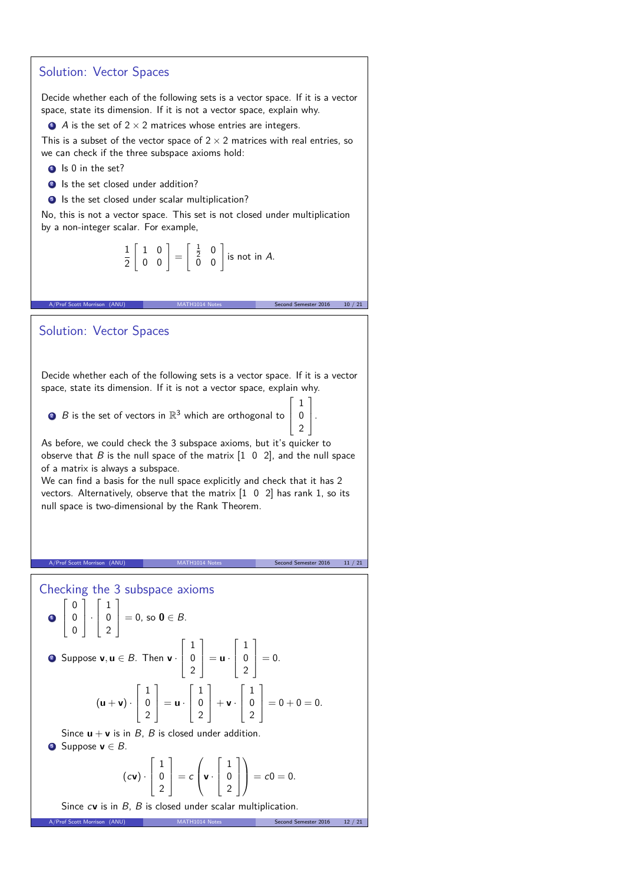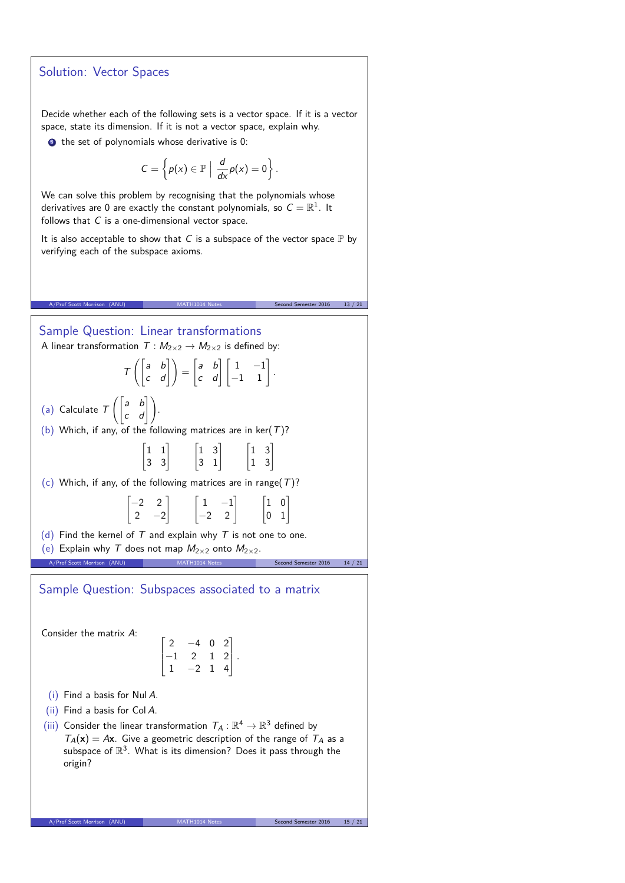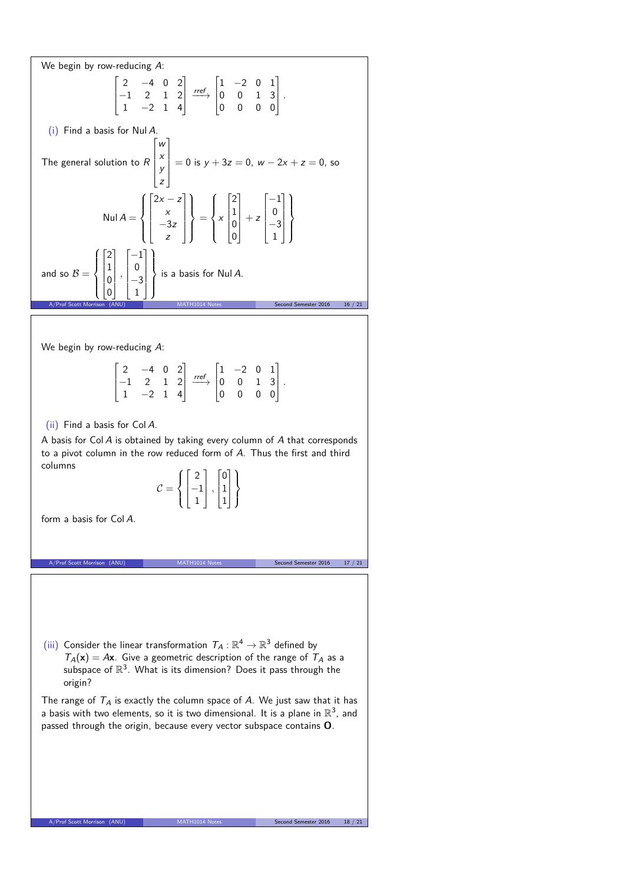